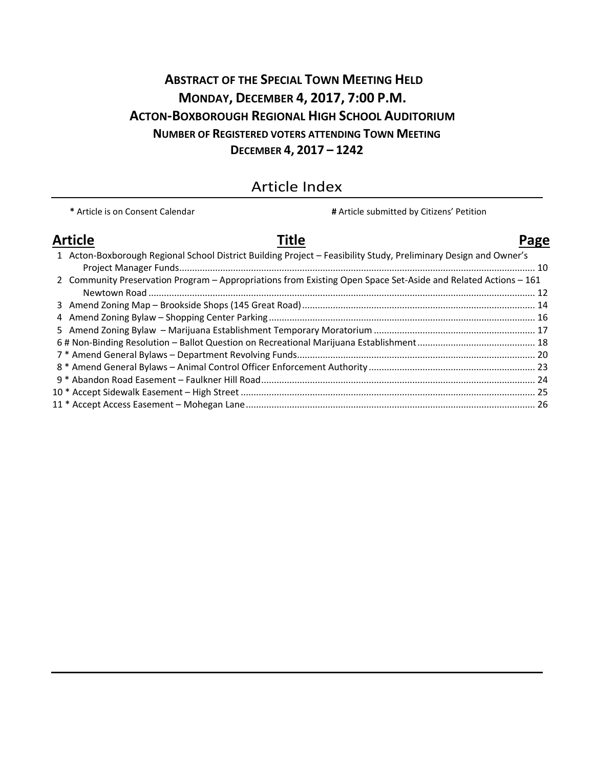# **ABSTRACT OF THE SPECIAL TOWN MEETING HELD MONDAY, DECEMBER 4, 2017, 7:00 P.M. ACTON-BOXBOROUGH REGIONAL HIGH SCHOOL AUDITORIUM NUMBER OF REGISTERED VOTERS ATTENDING TOWN MEETING DECEMBER 4, 2017 – 1242**

# Article Index

**\*** Article is on Consent Calendar **#** Article submitted by Citizens' Petition **Article Title Page** 1 Acton-Boxborough Regional School District Building Project – Feasibility Study, Preliminary Design and Owner's Project Manager Funds........................................................................................................................................... 10 2 Community Preservation Program – Appropriations from Existing Open Space Set-Aside and Related Actions – 161 Newtown Road ....................................................................................................................................................... 12 3 Amend Zoning Map – Brookside Shops (145 Great Road)........................................................................................... 14 4 Amend Zoning Bylaw – Shopping Center Parking........................................................................................................ 16 5 Amend Zoning Bylaw – Marijuana Establishment Temporary Moratorium ............................................................... 17 6 # Non-Binding Resolution – Ballot Question on Recreational Marijuana Establishment.............................................. 18 7 \* Amend General Bylaws – Department Revolving Funds............................................................................................. 20 8 \* Amend General Bylaws – Animal Control Officer Enforcement Authority ................................................................. 23 9 \* Abandon Road Easement – Faulkner Hill Road........................................................................................................... 24 10 \* Accept Sidewalk Easement – High Street ................................................................................................................... 25 11 \* Accept Access Easement – Mohegan Lane................................................................................................................. 26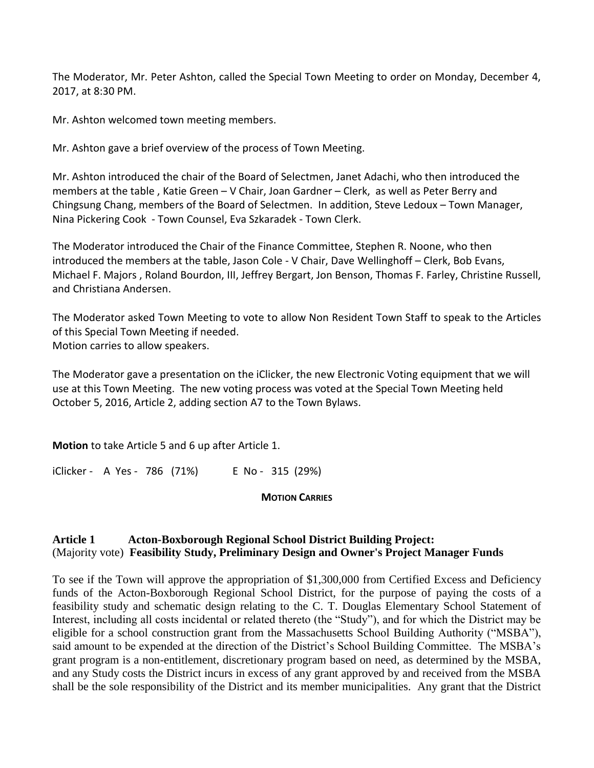The Moderator, Mr. Peter Ashton, called the Special Town Meeting to order on Monday, December 4, 2017, at 8:30 PM.

Mr. Ashton welcomed town meeting members.

Mr. Ashton gave a brief overview of the process of Town Meeting.

Mr. Ashton introduced the chair of the Board of Selectmen, Janet Adachi, who then introduced the members at the table , Katie Green – V Chair, Joan Gardner – Clerk, as well as Peter Berry and Chingsung Chang, members of the Board of Selectmen. In addition, Steve Ledoux – Town Manager, Nina Pickering Cook - Town Counsel, Eva Szkaradek - Town Clerk.

The Moderator introduced the Chair of the Finance Committee, Stephen R. Noone, who then introduced the members at the table, Jason Cole - V Chair, Dave Wellinghoff – Clerk, Bob Evans, Michael F. Majors , Roland Bourdon, III, Jeffrey Bergart, Jon Benson, Thomas F. Farley, Christine Russell, and Christiana Andersen.

The Moderator asked Town Meeting to vote to allow Non Resident Town Staff to speak to the Articles of this Special Town Meeting if needed. Motion carries to allow speakers.

The Moderator gave a presentation on the iClicker, the new Electronic Voting equipment that we will use at this Town Meeting. The new voting process was voted at the Special Town Meeting held October 5, 2016, Article 2, adding section A7 to the Town Bylaws.

**Motion** to take Article 5 and 6 up after Article 1.

iClicker - A Yes - 786 (71%) E No - 315 (29%)

### **MOTION CARRIES**

# **Article 1 Acton-Boxborough Regional School District Building Project:** (Majority vote) **Feasibility Study, Preliminary Design and Owner's Project Manager Funds**

To see if the Town will approve the appropriation of \$1,300,000 from Certified Excess and Deficiency funds of the Acton-Boxborough Regional School District, for the purpose of paying the costs of a feasibility study and schematic design relating to the C. T. Douglas Elementary School Statement of Interest, including all costs incidental or related thereto (the "Study"), and for which the District may be eligible for a school construction grant from the Massachusetts School Building Authority ("MSBA"), said amount to be expended at the direction of the District's School Building Committee. The MSBA's grant program is a non-entitlement, discretionary program based on need, as determined by the MSBA, and any Study costs the District incurs in excess of any grant approved by and received from the MSBA shall be the sole responsibility of the District and its member municipalities. Any grant that the District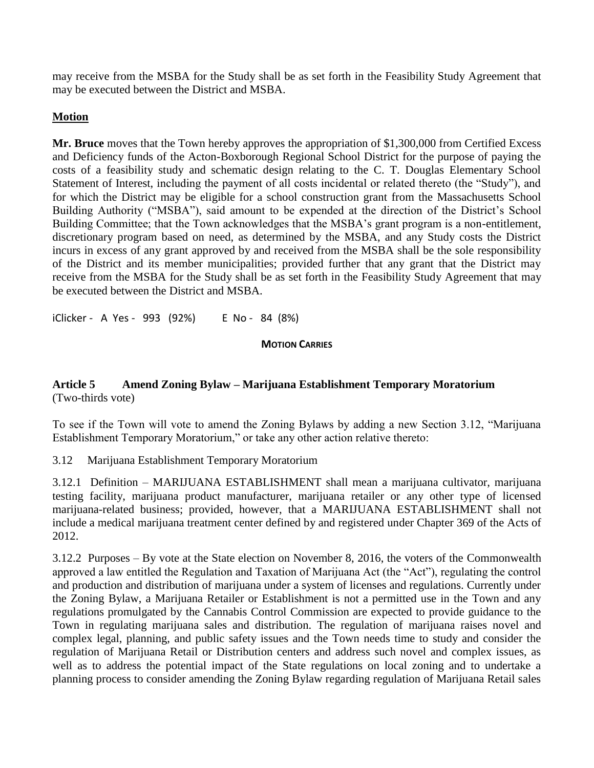may receive from the MSBA for the Study shall be as set forth in the Feasibility Study Agreement that may be executed between the District and MSBA.

# **Motion**

**Mr. Bruce** moves that the Town hereby approves the appropriation of \$1,300,000 from Certified Excess and Deficiency funds of the Acton-Boxborough Regional School District for the purpose of paying the costs of a feasibility study and schematic design relating to the C. T. Douglas Elementary School Statement of Interest, including the payment of all costs incidental or related thereto (the "Study"), and for which the District may be eligible for a school construction grant from the Massachusetts School Building Authority ("MSBA"), said amount to be expended at the direction of the District's School Building Committee; that the Town acknowledges that the MSBA's grant program is a non-entitlement, discretionary program based on need, as determined by the MSBA, and any Study costs the District incurs in excess of any grant approved by and received from the MSBA shall be the sole responsibility of the District and its member municipalities; provided further that any grant that the District may receive from the MSBA for the Study shall be as set forth in the Feasibility Study Agreement that may be executed between the District and MSBA.

iClicker - A Yes - 993 (92%) E No - 84 (8%)

# **MOTION CARRIES**

# **Article 5 Amend Zoning Bylaw – Marijuana Establishment Temporary Moratorium** (Two-thirds vote)

To see if the Town will vote to amend the Zoning Bylaws by adding a new Section 3.12, "Marijuana Establishment Temporary Moratorium," or take any other action relative thereto:

3.12 Marijuana Establishment Temporary Moratorium

3.12.1 Definition – MARIJUANA ESTABLISHMENT shall mean a marijuana cultivator, marijuana testing facility, marijuana product manufacturer, marijuana retailer or any other type of licensed marijuana-related business; provided, however, that a MARIJUANA ESTABLISHMENT shall not include a medical marijuana treatment center defined by and registered under Chapter 369 of the Acts of 2012.

3.12.2 Purposes – By vote at the State election on November 8, 2016, the voters of the Commonwealth approved a law entitled the Regulation and Taxation of Marijuana Act (the "Act"), regulating the control and production and distribution of marijuana under a system of licenses and regulations. Currently under the Zoning Bylaw, a Marijuana Retailer or Establishment is not a permitted use in the Town and any regulations promulgated by the Cannabis Control Commission are expected to provide guidance to the Town in regulating marijuana sales and distribution. The regulation of marijuana raises novel and complex legal, planning, and public safety issues and the Town needs time to study and consider the regulation of Marijuana Retail or Distribution centers and address such novel and complex issues, as well as to address the potential impact of the State regulations on local zoning and to undertake a planning process to consider amending the Zoning Bylaw regarding regulation of Marijuana Retail sales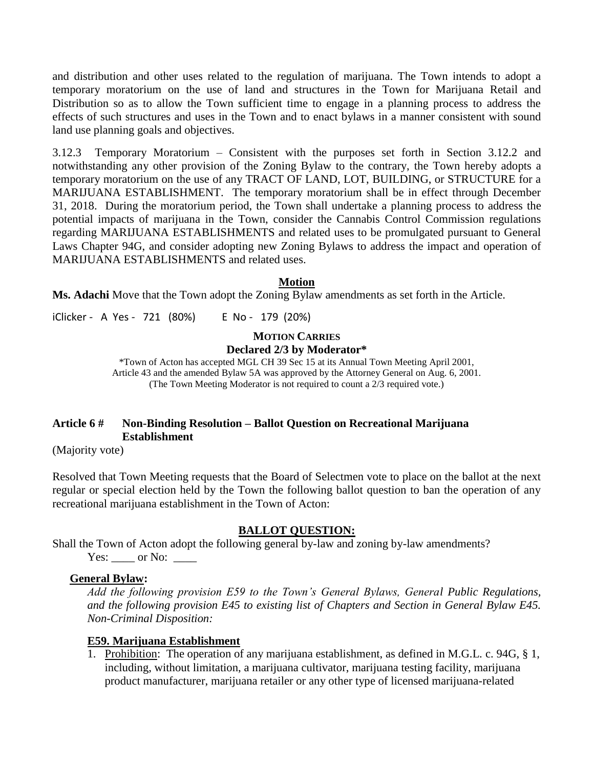and distribution and other uses related to the regulation of marijuana. The Town intends to adopt a temporary moratorium on the use of land and structures in the Town for Marijuana Retail and Distribution so as to allow the Town sufficient time to engage in a planning process to address the effects of such structures and uses in the Town and to enact bylaws in a manner consistent with sound land use planning goals and objectives.

3.12.3 Temporary Moratorium – Consistent with the purposes set forth in Section 3.12.2 and notwithstanding any other provision of the Zoning Bylaw to the contrary, the Town hereby adopts a temporary moratorium on the use of any TRACT OF LAND, LOT, BUILDING, or STRUCTURE for a MARIJUANA ESTABLISHMENT. The temporary moratorium shall be in effect through December 31, 2018. During the moratorium period, the Town shall undertake a planning process to address the potential impacts of marijuana in the Town, consider the Cannabis Control Commission regulations regarding MARIJUANA ESTABLISHMENTS and related uses to be promulgated pursuant to General Laws Chapter 94G, and consider adopting new Zoning Bylaws to address the impact and operation of MARIJUANA ESTABLISHMENTS and related uses.

## **Motion**

**Ms. Adachi** Move that the Town adopt the Zoning Bylaw amendments as set forth in the Article.

iClicker - A Yes - 721 (80%) E No - 179 (20%)

# **MOTION CARRIES**

#### **Declared 2/3 by Moderator\***

\*Town of Acton has accepted MGL CH 39 Sec 15 at its Annual Town Meeting April 2001, Article 43 and the amended Bylaw 5A was approved by the Attorney General on Aug. 6, 2001. (The Town Meeting Moderator is not required to count a 2/3 required vote.)

# **Article 6 # Non-Binding Resolution – Ballot Question on Recreational Marijuana Establishment**

(Majority vote)

Resolved that Town Meeting requests that the Board of Selectmen vote to place on the ballot at the next regular or special election held by the Town the following ballot question to ban the operation of any recreational marijuana establishment in the Town of Acton:

### **BALLOT QUESTION:**

Shall the Town of Acton adopt the following general by-law and zoning by-law amendments? Yes: or No:

### **General Bylaw:**

*Add the following provision E59 to the Town's General Bylaws, General Public Regulations, and the following provision E45 to existing list of Chapters and Section in General Bylaw E45. Non-Criminal Disposition:*

### **E59. Marijuana Establishment**

1. Prohibition: The operation of any marijuana establishment, as defined in M.G.L. c. 94G, § 1, including, without limitation, a marijuana cultivator, marijuana testing facility, marijuana product manufacturer, marijuana retailer or any other type of licensed marijuana-related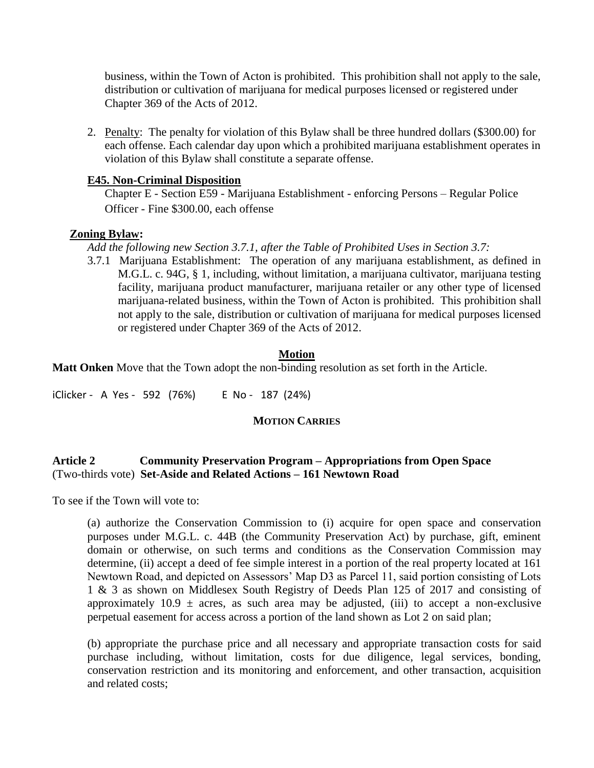business, within the Town of Acton is prohibited. This prohibition shall not apply to the sale, distribution or cultivation of marijuana for medical purposes licensed or registered under Chapter 369 of the Acts of 2012.

2. Penalty: The penalty for violation of this Bylaw shall be three hundred dollars (\$300.00) for each offense. Each calendar day upon which a prohibited marijuana establishment operates in violation of this Bylaw shall constitute a separate offense.

# **E45. Non-Criminal Disposition**

Chapter E - Section E59 - Marijuana Establishment - enforcing Persons – Regular Police Officer - Fine \$300.00, each offense

# **Zoning Bylaw:**

*Add the following new Section 3.7.1, after the Table of Prohibited Uses in Section 3.7:*

3.7.1 Marijuana Establishment: The operation of any marijuana establishment, as defined in M.G.L. c. 94G, § 1, including, without limitation, a marijuana cultivator, marijuana testing facility, marijuana product manufacturer, marijuana retailer or any other type of licensed marijuana-related business, within the Town of Acton is prohibited. This prohibition shall not apply to the sale, distribution or cultivation of marijuana for medical purposes licensed or registered under Chapter 369 of the Acts of 2012.

# **Motion**

**Matt Onken** Move that the Town adopt the non-binding resolution as set forth in the Article.

iClicker - A Yes - 592 (76%) E No - 187 (24%)

# **MOTION CARRIES**

# **Article 2 Community Preservation Program – Appropriations from Open Space** (Two-thirds vote) **Set-Aside and Related Actions – 161 Newtown Road**

To see if the Town will vote to:

(a) authorize the Conservation Commission to (i) acquire for open space and conservation purposes under M.G.L. c. 44B (the Community Preservation Act) by purchase, gift, eminent domain or otherwise, on such terms and conditions as the Conservation Commission may determine, (ii) accept a deed of fee simple interest in a portion of the real property located at 161 Newtown Road, and depicted on Assessors' Map D3 as Parcel 11, said portion consisting of Lots 1 & 3 as shown on Middlesex South Registry of Deeds Plan 125 of 2017 and consisting of approximately 10.9  $\pm$  acres, as such area may be adjusted, (iii) to accept a non-exclusive perpetual easement for access across a portion of the land shown as Lot 2 on said plan;

(b) appropriate the purchase price and all necessary and appropriate transaction costs for said purchase including, without limitation, costs for due diligence, legal services, bonding, conservation restriction and its monitoring and enforcement, and other transaction, acquisition and related costs;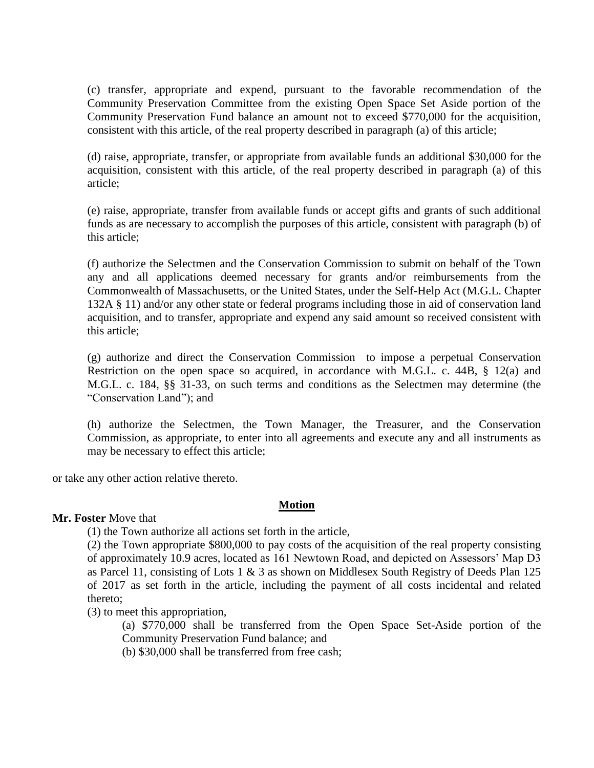(c) transfer, appropriate and expend, pursuant to the favorable recommendation of the Community Preservation Committee from the existing Open Space Set Aside portion of the Community Preservation Fund balance an amount not to exceed \$770,000 for the acquisition, consistent with this article, of the real property described in paragraph (a) of this article;

(d) raise, appropriate, transfer, or appropriate from available funds an additional \$30,000 for the acquisition, consistent with this article, of the real property described in paragraph (a) of this article;

(e) raise, appropriate, transfer from available funds or accept gifts and grants of such additional funds as are necessary to accomplish the purposes of this article, consistent with paragraph (b) of this article;

(f) authorize the Selectmen and the Conservation Commission to submit on behalf of the Town any and all applications deemed necessary for grants and/or reimbursements from the Commonwealth of Massachusetts, or the United States, under the Self-Help Act (M.G.L. Chapter 132A § 11) and/or any other state or federal programs including those in aid of conservation land acquisition, and to transfer, appropriate and expend any said amount so received consistent with this article;

(g) authorize and direct the Conservation Commission to impose a perpetual Conservation Restriction on the open space so acquired, in accordance with M.G.L. c. 44B, § 12(a) and M.G.L. c. 184, §§ 31-33, on such terms and conditions as the Selectmen may determine (the "Conservation Land"); and

(h) authorize the Selectmen, the Town Manager, the Treasurer, and the Conservation Commission, as appropriate, to enter into all agreements and execute any and all instruments as may be necessary to effect this article;

or take any other action relative thereto.

# **Motion**

# **Mr. Foster** Move that

(1) the Town authorize all actions set forth in the article,

(2) the Town appropriate \$800,000 to pay costs of the acquisition of the real property consisting of approximately 10.9 acres, located as 161 Newtown Road, and depicted on Assessors' Map D3 as Parcel 11, consisting of Lots 1  $\&$  3 as shown on Middlesex South Registry of Deeds Plan 125 of 2017 as set forth in the article, including the payment of all costs incidental and related thereto;

(3) to meet this appropriation,

(a) \$770,000 shall be transferred from the Open Space Set-Aside portion of the Community Preservation Fund balance; and

(b) \$30,000 shall be transferred from free cash;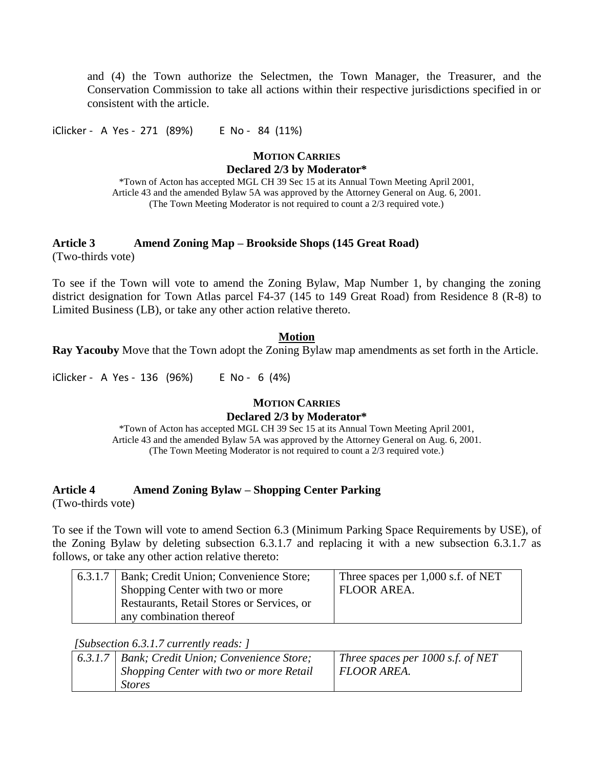and (4) the Town authorize the Selectmen, the Town Manager, the Treasurer, and the Conservation Commission to take all actions within their respective jurisdictions specified in or consistent with the article.

iClicker - A Yes - 271 (89%) E No - 84 (11%)

# **MOTION CARRIES**

**Declared 2/3 by Moderator\***

\*Town of Acton has accepted MGL CH 39 Sec 15 at its Annual Town Meeting April 2001, Article 43 and the amended Bylaw 5A was approved by the Attorney General on Aug. 6, 2001. (The Town Meeting Moderator is not required to count a 2/3 required vote.)

# **Article 3 Amend Zoning Map – Brookside Shops (145 Great Road)**

(Two-thirds vote)

To see if the Town will vote to amend the Zoning Bylaw, Map Number 1, by changing the zoning district designation for Town Atlas parcel F4-37 (145 to 149 Great Road) from Residence 8 (R-8) to Limited Business (LB), or take any other action relative thereto.

# **Motion**

**Ray Yacouby** Move that the Town adopt the Zoning Bylaw map amendments as set forth in the Article.

iClicker - A Yes - 136 (96%) E No - 6 (4%)

### **MOTION CARRIES Declared 2/3 by Moderator\***

\*Town of Acton has accepted MGL CH 39 Sec 15 at its Annual Town Meeting April 2001, Article 43 and the amended Bylaw 5A was approved by the Attorney General on Aug. 6, 2001. (The Town Meeting Moderator is not required to count a 2/3 required vote.)

# **Article 4 Amend Zoning Bylaw – Shopping Center Parking**

(Two-thirds vote)

To see if the Town will vote to amend Section 6.3 (Minimum Parking Space Requirements by USE), of the Zoning Bylaw by deleting subsection 6.3.1.7 and replacing it with a new subsection 6.3.1.7 as follows, or take any other action relative thereto:

| 6.3.1.7   Bank; Credit Union; Convenience Store; | Three spaces per 1,000 s.f. of NET |
|--------------------------------------------------|------------------------------------|
| Shopping Center with two or more                 | FLOOR AREA.                        |
| Restaurants, Retail Stores or Services, or       |                                    |
| any combination thereof                          |                                    |

*[Subsection 6.3.1.7 currently reads: ]*

| 6.3.1.7 | Bank; Credit Union; Convenience Store;  | Three spaces per $1000$ s.f. of NET |
|---------|-----------------------------------------|-------------------------------------|
|         | Shopping Center with two or more Retail | <i>FLOOR AREA.</i>                  |
|         | <i>Stores</i>                           |                                     |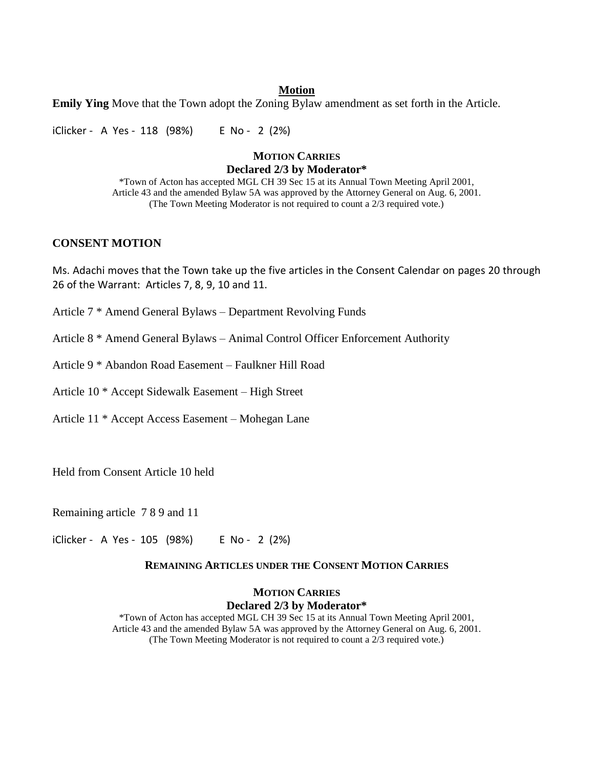## **Motion**

**Emily Ying** Move that the Town adopt the Zoning Bylaw amendment as set forth in the Article.

iClicker - A Yes - 118 (98%) E No - 2 (2%)

### **MOTION CARRIES Declared 2/3 by Moderator\***

\*Town of Acton has accepted MGL CH 39 Sec 15 at its Annual Town Meeting April 2001, Article 43 and the amended Bylaw 5A was approved by the Attorney General on Aug. 6, 2001. (The Town Meeting Moderator is not required to count a 2/3 required vote.)

## **CONSENT MOTION**

Ms. Adachi moves that the Town take up the five articles in the Consent Calendar on pages 20 through 26 of the Warrant: Articles 7, 8, 9, 10 and 11.

Article 7 \* Amend General Bylaws – Department Revolving Funds

Article 8 \* Amend General Bylaws – Animal Control Officer Enforcement Authority

Article 9 \* Abandon Road Easement – Faulkner Hill Road

Article 10 \* Accept Sidewalk Easement – High Street

Article 11 \* Accept Access Easement – Mohegan Lane

Held from Consent Article 10 held

Remaining article 7 8 9 and 11

iClicker - A Yes - 105 (98%) E No - 2 (2%)

#### **REMAINING ARTICLES UNDER THE CONSENT MOTION CARRIES**

### **MOTION CARRIES Declared 2/3 by Moderator\***

\*Town of Acton has accepted MGL CH 39 Sec 15 at its Annual Town Meeting April 2001, Article 43 and the amended Bylaw 5A was approved by the Attorney General on Aug. 6, 2001. (The Town Meeting Moderator is not required to count a 2/3 required vote.)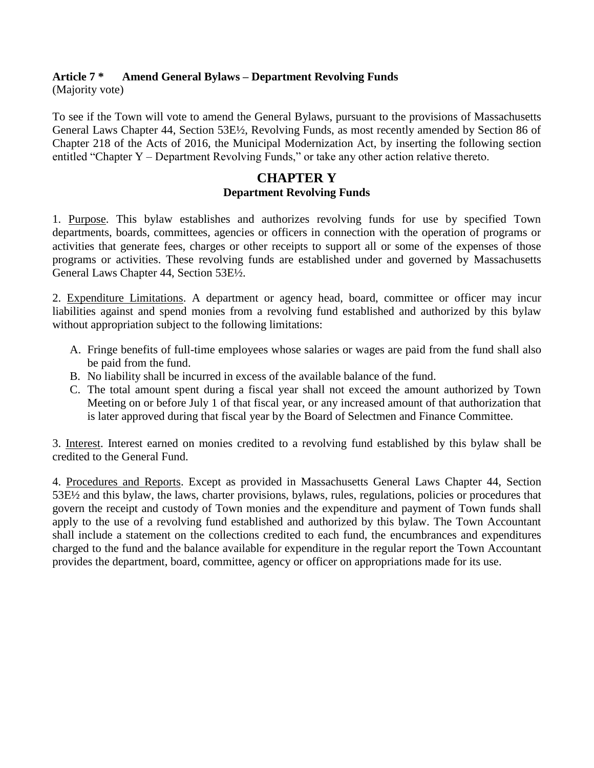# **Article 7 \* Amend General Bylaws – Department Revolving Funds**

(Majority vote)

To see if the Town will vote to amend the General Bylaws, pursuant to the provisions of Massachusetts General Laws Chapter 44, Section 53E½, Revolving Funds, as most recently amended by Section 86 of Chapter 218 of the Acts of 2016, the Municipal Modernization Act, by inserting the following section entitled "Chapter Y – Department Revolving Funds," or take any other action relative thereto.

# **CHAPTER Y Department Revolving Funds**

1. Purpose. This bylaw establishes and authorizes revolving funds for use by specified Town departments, boards, committees, agencies or officers in connection with the operation of programs or activities that generate fees, charges or other receipts to support all or some of the expenses of those programs or activities. These revolving funds are established under and governed by Massachusetts General Laws Chapter 44, Section 53E½.

2. Expenditure Limitations. A department or agency head, board, committee or officer may incur liabilities against and spend monies from a revolving fund established and authorized by this bylaw without appropriation subject to the following limitations:

- A. Fringe benefits of full-time employees whose salaries or wages are paid from the fund shall also be paid from the fund.
- B. No liability shall be incurred in excess of the available balance of the fund.
- C. The total amount spent during a fiscal year shall not exceed the amount authorized by Town Meeting on or before July 1 of that fiscal year, or any increased amount of that authorization that is later approved during that fiscal year by the Board of Selectmen and Finance Committee.

3. Interest. Interest earned on monies credited to a revolving fund established by this bylaw shall be credited to the General Fund.

4. Procedures and Reports. Except as provided in Massachusetts General Laws Chapter 44, Section 53E½ and this bylaw, the laws, charter provisions, bylaws, rules, regulations, policies or procedures that govern the receipt and custody of Town monies and the expenditure and payment of Town funds shall apply to the use of a revolving fund established and authorized by this bylaw. The Town Accountant shall include a statement on the collections credited to each fund, the encumbrances and expenditures charged to the fund and the balance available for expenditure in the regular report the Town Accountant provides the department, board, committee, agency or officer on appropriations made for its use.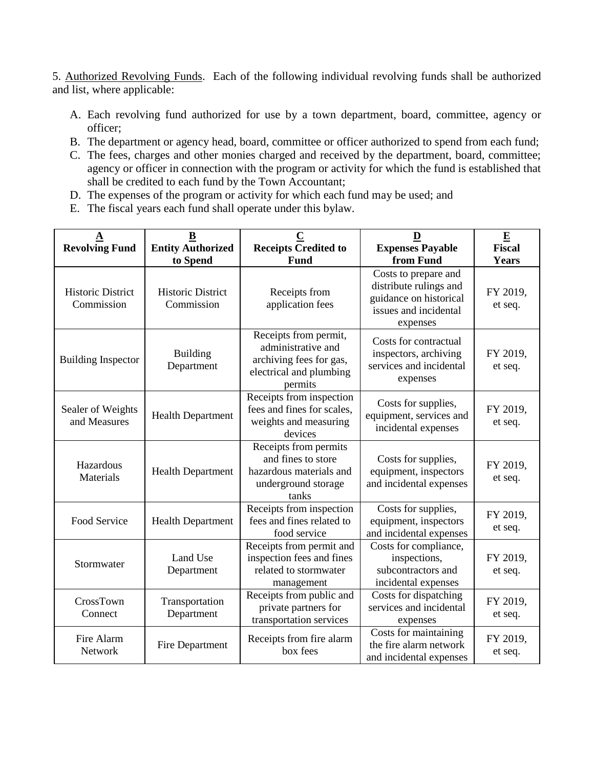5. Authorized Revolving Funds. Each of the following individual revolving funds shall be authorized and list, where applicable:

- A. Each revolving fund authorized for use by a town department, board, committee, agency or officer;
- B. The department or agency head, board, committee or officer authorized to spend from each fund;
- C. The fees, charges and other monies charged and received by the department, board, committee; agency or officer in connection with the program or activity for which the fund is established that shall be credited to each fund by the Town Accountant;
- D. The expenses of the program or activity for which each fund may be used; and
- E. The fiscal years each fund shall operate under this bylaw.

| A<br><b>Revolving Fund</b>             | B<br><b>Entity Authorized</b><br>to Spend | $\mathbf C$<br><b>Receipts Credited to</b><br>Fund                                                           | D<br><b>Expenses Payable</b><br>from Fund                                                                     | $\mathbf E$<br><b>Fiscal</b><br>Years |
|----------------------------------------|-------------------------------------------|--------------------------------------------------------------------------------------------------------------|---------------------------------------------------------------------------------------------------------------|---------------------------------------|
| <b>Historic District</b><br>Commission | <b>Historic District</b><br>Commission    | Receipts from<br>application fees                                                                            | Costs to prepare and<br>distribute rulings and<br>guidance on historical<br>issues and incidental<br>expenses | FY 2019,<br>et seq.                   |
| <b>Building Inspector</b>              | <b>Building</b><br>Department             | Receipts from permit,<br>administrative and<br>archiving fees for gas,<br>electrical and plumbing<br>permits | Costs for contractual<br>inspectors, archiving<br>services and incidental<br>expenses                         | FY 2019,<br>et seq.                   |
| Sealer of Weights<br>and Measures      | <b>Health Department</b>                  | Receipts from inspection<br>fees and fines for scales,<br>weights and measuring<br>devices                   | Costs for supplies,<br>equipment, services and<br>incidental expenses                                         | FY 2019,<br>et seq.                   |
| Hazardous<br>Materials                 | <b>Health Department</b>                  | Receipts from permits<br>and fines to store<br>hazardous materials and<br>underground storage<br>tanks       | Costs for supplies,<br>equipment, inspectors<br>and incidental expenses                                       | FY 2019,<br>et seq.                   |
| Food Service                           | <b>Health Department</b>                  | Receipts from inspection<br>fees and fines related to<br>food service                                        | Costs for supplies,<br>equipment, inspectors<br>and incidental expenses                                       | FY 2019,<br>et seq.                   |
| Stormwater                             | Land Use<br>Department                    | Receipts from permit and<br>inspection fees and fines<br>related to stormwater<br>management                 | Costs for compliance,<br>inspections,<br>subcontractors and<br>incidental expenses                            | FY 2019,<br>et seq.                   |
| CrossTown<br>Connect                   | Transportation<br>Department              | Receipts from public and<br>private partners for<br>transportation services                                  | Costs for dispatching<br>services and incidental<br>expenses                                                  | FY 2019,<br>et seq.                   |
| Fire Alarm<br>Network                  | Fire Department                           | Receipts from fire alarm<br>box fees                                                                         | Costs for maintaining<br>the fire alarm network<br>and incidental expenses                                    | FY 2019,<br>et seq.                   |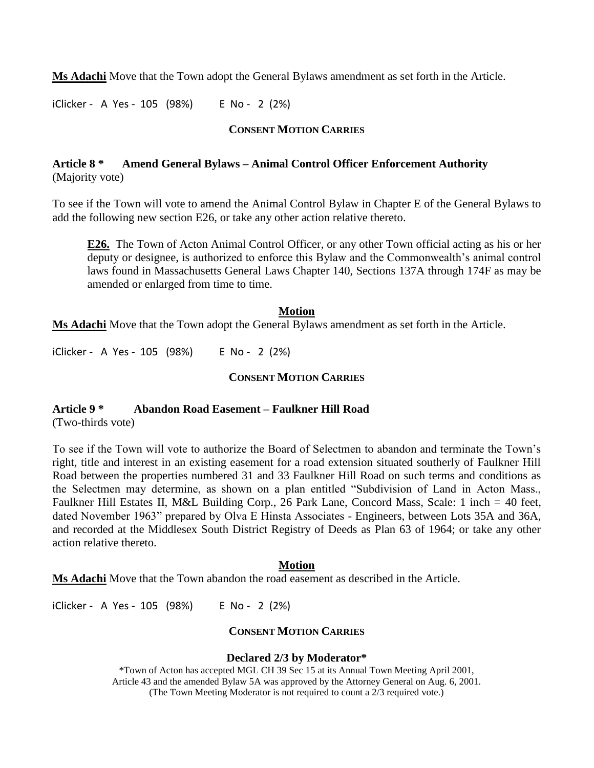**Ms Adachi** Move that the Town adopt the General Bylaws amendment as set forth in the Article.

iClicker - A Yes - 105 (98%) E No - 2 (2%)

## **CONSENT MOTION CARRIES**

# **Article 8 \* Amend General Bylaws – Animal Control Officer Enforcement Authority** (Majority vote)

To see if the Town will vote to amend the Animal Control Bylaw in Chapter E of the General Bylaws to add the following new section E26, or take any other action relative thereto.

**E26.** The Town of Acton Animal Control Officer, or any other Town official acting as his or her deputy or designee, is authorized to enforce this Bylaw and the Commonwealth's animal control laws found in Massachusetts General Laws Chapter 140, Sections 137A through 174F as may be amended or enlarged from time to time.

#### **Motion**

**Ms Adachi** Move that the Town adopt the General Bylaws amendment as set forth in the Article.

iClicker - A Yes - 105 (98%) E No - 2 (2%)

## **CONSENT MOTION CARRIES**

## **Article 9 \* Abandon Road Easement – Faulkner Hill Road**

(Two-thirds vote)

To see if the Town will vote to authorize the Board of Selectmen to abandon and terminate the Town's right, title and interest in an existing easement for a road extension situated southerly of Faulkner Hill Road between the properties numbered 31 and 33 Faulkner Hill Road on such terms and conditions as the Selectmen may determine, as shown on a plan entitled "Subdivision of Land in Acton Mass., Faulkner Hill Estates II, M&L Building Corp., 26 Park Lane, Concord Mass, Scale: 1 inch = 40 feet, dated November 1963" prepared by Olva E Hinsta Associates - Engineers, between Lots 35A and 36A, and recorded at the Middlesex South District Registry of Deeds as Plan 63 of 1964; or take any other action relative thereto.

### **Motion**

**Ms Adachi** Move that the Town abandon the road easement as described in the Article.

iClicker - A Yes - 105 (98%) E No - 2 (2%)

# **CONSENT MOTION CARRIES**

### **Declared 2/3 by Moderator\***

\*Town of Acton has accepted MGL CH 39 Sec 15 at its Annual Town Meeting April 2001, Article 43 and the amended Bylaw 5A was approved by the Attorney General on Aug. 6, 2001. (The Town Meeting Moderator is not required to count a 2/3 required vote.)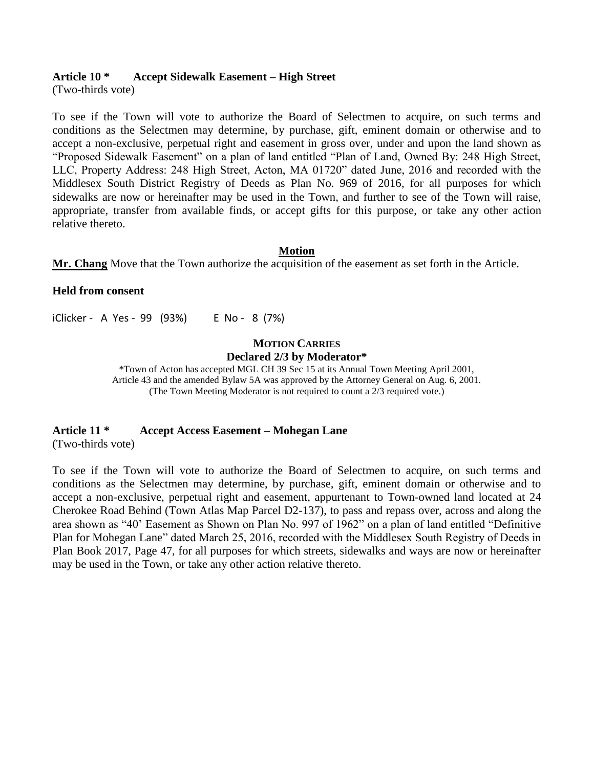## **Article 10 \* Accept Sidewalk Easement – High Street**

(Two-thirds vote)

To see if the Town will vote to authorize the Board of Selectmen to acquire, on such terms and conditions as the Selectmen may determine, by purchase, gift, eminent domain or otherwise and to accept a non-exclusive, perpetual right and easement in gross over, under and upon the land shown as "Proposed Sidewalk Easement" on a plan of land entitled "Plan of Land, Owned By: 248 High Street, LLC, Property Address: 248 High Street, Acton, MA 01720" dated June, 2016 and recorded with the Middlesex South District Registry of Deeds as Plan No. 969 of 2016, for all purposes for which sidewalks are now or hereinafter may be used in the Town, and further to see of the Town will raise, appropriate, transfer from available finds, or accept gifts for this purpose, or take any other action relative thereto.

### **Motion**

**Mr. Chang** Move that the Town authorize the acquisition of the easement as set forth in the Article.

### **Held from consent**

iClicker - A Yes - 99 (93%) E No - 8 (7%)

#### **MOTION CARRIES Declared 2/3 by Moderator\***

\*Town of Acton has accepted MGL CH 39 Sec 15 at its Annual Town Meeting April 2001, Article 43 and the amended Bylaw 5A was approved by the Attorney General on Aug. 6, 2001. (The Town Meeting Moderator is not required to count a 2/3 required vote.)

# **Article 11 \* Accept Access Easement – Mohegan Lane**

(Two-thirds vote)

To see if the Town will vote to authorize the Board of Selectmen to acquire, on such terms and conditions as the Selectmen may determine, by purchase, gift, eminent domain or otherwise and to accept a non-exclusive, perpetual right and easement, appurtenant to Town-owned land located at 24 Cherokee Road Behind (Town Atlas Map Parcel D2-137), to pass and repass over, across and along the area shown as "40' Easement as Shown on Plan No. 997 of 1962" on a plan of land entitled "Definitive Plan for Mohegan Lane" dated March 25, 2016, recorded with the Middlesex South Registry of Deeds in Plan Book 2017, Page 47, for all purposes for which streets, sidewalks and ways are now or hereinafter may be used in the Town, or take any other action relative thereto.